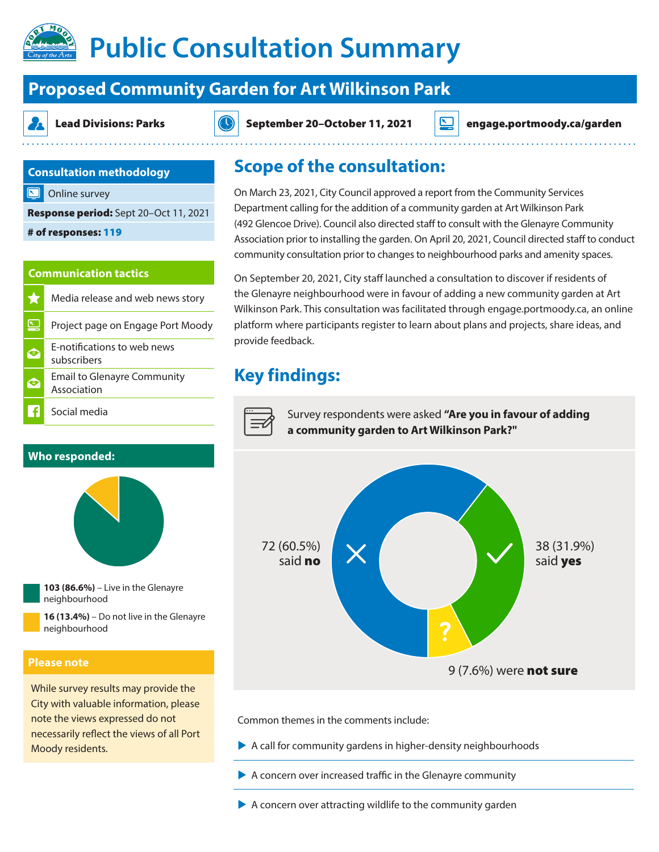# **Public Consultation Summary**

# **Proposed Community Garden for Art Wilkinson Park**

Lead Divisions: Parks  $|\langle \cdot \rangle|$  September 20–October 11, 2021 engage.portmoody.ca/garden

### **Consultation methodology**

Online survey

Response period: Sept 20–Oct 11, 2021

# of responses: 119

#### **Communication tactics**

| 5.7 | Media release and web news story                  |
|-----|---------------------------------------------------|
|     | Project page on Engage Port Moody                 |
| 冥   | E-notifications to web news<br>subscribers        |
| 凤   | <b>Email to Glenayre Community</b><br>Association |
|     | Social media                                      |

### **Who responded:**





**16 (13.4%)** – Do not live in the Glenayre neighbourhood

#### **Please note**

While survey results may provide the City with valuable information, please note the views expressed do not necessarily reflect the views of all Port Moody residents.

## **Scope of the consultation:**

On March 23, 2021, City Council approved a report from the Community Services Department calling for the addition of a community garden at Art Wilkinson Park (492 Glencoe Drive). Council also directed staff to consult with the Glenayre Community Association prior to installing the garden. On April 20, 2021, Council directed staff to conduct community consultation prior to changes to neighbourhood parks and amenity spaces.

On September 20, 2021, City staff launched a consultation to discover if residents of the Glenayre neighbourhood were in favour of adding a new community garden at Art Wilkinson Park. This consultation was facilitated through engage.portmoody.ca, an online platform where participants register to learn about plans and projects, share ideas, and provide feedback.

# **Key findings:**



Survey respondents were asked **"Are you in favour of adding a community garden to Art Wilkinson Park?"**



Common themes in the comments include:

- $\blacktriangleright$  A call for community gardens in higher-density neighbourhoods
- $\blacktriangleright$  A concern over increased traffic in the Glenayre community
- $\blacktriangleright$  A concern over attracting wildlife to the community garden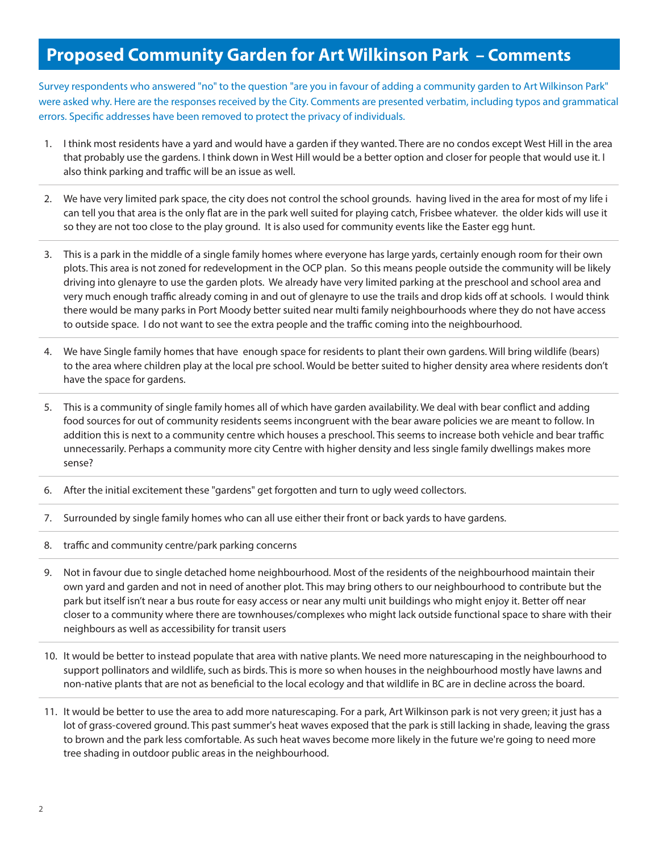# **Proposed Community Garden for Art Wilkinson Park – Comments**

Survey respondents who answered "no" to the question "are you in favour of adding a community garden to Art Wilkinson Park" were asked why. Here are the responses received by the City. Comments are presented verbatim, including typos and grammatical errors. Specific addresses have been removed to protect the privacy of individuals.

- 1. I think most residents have a yard and would have a garden if they wanted. There are no condos except West Hill in the area that probably use the gardens. I think down in West Hill would be a better option and closer for people that would use it. I also think parking and traffic will be an issue as well.
- 2. We have very limited park space, the city does not control the school grounds. having lived in the area for most of my life i can tell you that area is the only flat are in the park well suited for playing catch, Frisbee whatever. the older kids will use it so they are not too close to the play ground. It is also used for community events like the Easter egg hunt.
- 3. This is a park in the middle of a single family homes where everyone has large yards, certainly enough room for their own plots. This area is not zoned for redevelopment in the OCP plan. So this means people outside the community will be likely driving into glenayre to use the garden plots. We already have very limited parking at the preschool and school area and very much enough traffic already coming in and out of glenayre to use the trails and drop kids off at schools. I would think there would be many parks in Port Moody better suited near multi family neighbourhoods where they do not have access to outside space. I do not want to see the extra people and the traffic coming into the neighbourhood.
- 4. We have Single family homes that have enough space for residents to plant their own gardens. Will bring wildlife (bears) to the area where children play at the local pre school. Would be better suited to higher density area where residents don't have the space for gardens.
- 5. This is a community of single family homes all of which have garden availability. We deal with bear conflict and adding food sources for out of community residents seems incongruent with the bear aware policies we are meant to follow. In addition this is next to a community centre which houses a preschool. This seems to increase both vehicle and bear traffic unnecessarily. Perhaps a community more city Centre with higher density and less single family dwellings makes more sense?
- 6. After the initial excitement these "gardens" get forgotten and turn to ugly weed collectors.
- 7. Surrounded by single family homes who can all use either their front or back yards to have gardens.
- 8. traffic and community centre/park parking concerns
- 9. Not in favour due to single detached home neighbourhood. Most of the residents of the neighbourhood maintain their own yard and garden and not in need of another plot. This may bring others to our neighbourhood to contribute but the park but itself isn't near a bus route for easy access or near any multi unit buildings who might enjoy it. Better off near closer to a community where there are townhouses/complexes who might lack outside functional space to share with their neighbours as well as accessibility for transit users
- 10. It would be better to instead populate that area with native plants. We need more naturescaping in the neighbourhood to support pollinators and wildlife, such as birds. This is more so when houses in the neighbourhood mostly have lawns and non-native plants that are not as beneficial to the local ecology and that wildlife in BC are in decline across the board.
- 11. It would be better to use the area to add more naturescaping. For a park, Art Wilkinson park is not very green; it just has a lot of grass-covered ground. This past summer's heat waves exposed that the park is still lacking in shade, leaving the grass to brown and the park less comfortable. As such heat waves become more likely in the future we're going to need more tree shading in outdoor public areas in the neighbourhood.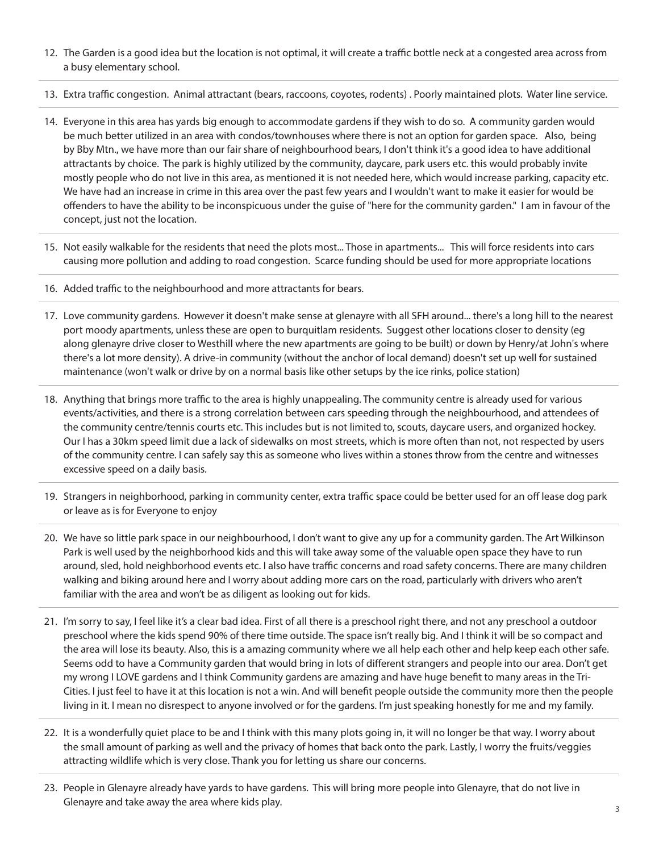- 12. The Garden is a good idea but the location is not optimal, it will create a traffic bottle neck at a congested area across from a busy elementary school.
- 13. Extra traffic congestion. Animal attractant (bears, raccoons, coyotes, rodents) . Poorly maintained plots. Water line service.
- 14. Everyone in this area has yards big enough to accommodate gardens if they wish to do so. A community garden would be much better utilized in an area with condos/townhouses where there is not an option for garden space. Also, being by Bby Mtn., we have more than our fair share of neighbourhood bears, I don't think it's a good idea to have additional attractants by choice. The park is highly utilized by the community, daycare, park users etc. this would probably invite mostly people who do not live in this area, as mentioned it is not needed here, which would increase parking, capacity etc. We have had an increase in crime in this area over the past few years and I wouldn't want to make it easier for would be offenders to have the ability to be inconspicuous under the guise of "here for the community garden." I am in favour of the concept, just not the location.
- 15. Not easily walkable for the residents that need the plots most... Those in apartments... This will force residents into cars causing more pollution and adding to road congestion. Scarce funding should be used for more appropriate locations
- 16. Added traffic to the neighbourhood and more attractants for bears.
- 17. Love community gardens. However it doesn't make sense at glenayre with all SFH around... there's a long hill to the nearest port moody apartments, unless these are open to burquitlam residents. Suggest other locations closer to density (eg along glenayre drive closer to Westhill where the new apartments are going to be built) or down by Henry/at John's where there's a lot more density). A drive-in community (without the anchor of local demand) doesn't set up well for sustained maintenance (won't walk or drive by on a normal basis like other setups by the ice rinks, police station)
- 18. Anything that brings more traffic to the area is highly unappealing. The community centre is already used for various events/activities, and there is a strong correlation between cars speeding through the neighbourhood, and attendees of the community centre/tennis courts etc. This includes but is not limited to, scouts, daycare users, and organized hockey. Our I has a 30km speed limit due a lack of sidewalks on most streets, which is more often than not, not respected by users of the community centre. I can safely say this as someone who lives within a stones throw from the centre and witnesses excessive speed on a daily basis.
- 19. Strangers in neighborhood, parking in community center, extra traffic space could be better used for an off lease dog park or leave as is for Everyone to enjoy
- 20. We have so little park space in our neighbourhood, I don't want to give any up for a community garden. The Art Wilkinson Park is well used by the neighborhood kids and this will take away some of the valuable open space they have to run around, sled, hold neighborhood events etc. I also have traffic concerns and road safety concerns. There are many children walking and biking around here and I worry about adding more cars on the road, particularly with drivers who aren't familiar with the area and won't be as diligent as looking out for kids.
- 21. I'm sorry to say, I feel like it's a clear bad idea. First of all there is a preschool right there, and not any preschool a outdoor preschool where the kids spend 90% of there time outside. The space isn't really big. And I think it will be so compact and the area will lose its beauty. Also, this is a amazing community where we all help each other and help keep each other safe. Seems odd to have a Community garden that would bring in lots of different strangers and people into our area. Don't get my wrong I LOVE gardens and I think Community gardens are amazing and have huge benefit to many areas in the Tri-Cities. I just feel to have it at this location is not a win. And will benefit people outside the community more then the people living in it. I mean no disrespect to anyone involved or for the gardens. I'm just speaking honestly for me and my family.
- 22. It is a wonderfully quiet place to be and I think with this many plots going in, it will no longer be that way. I worry about the small amount of parking as well and the privacy of homes that back onto the park. Lastly, I worry the fruits/veggies attracting wildlife which is very close. Thank you for letting us share our concerns.
- 23. People in Glenayre already have yards to have gardens. This will bring more people into Glenayre, that do not live in Glenayre and take away the area where kids play.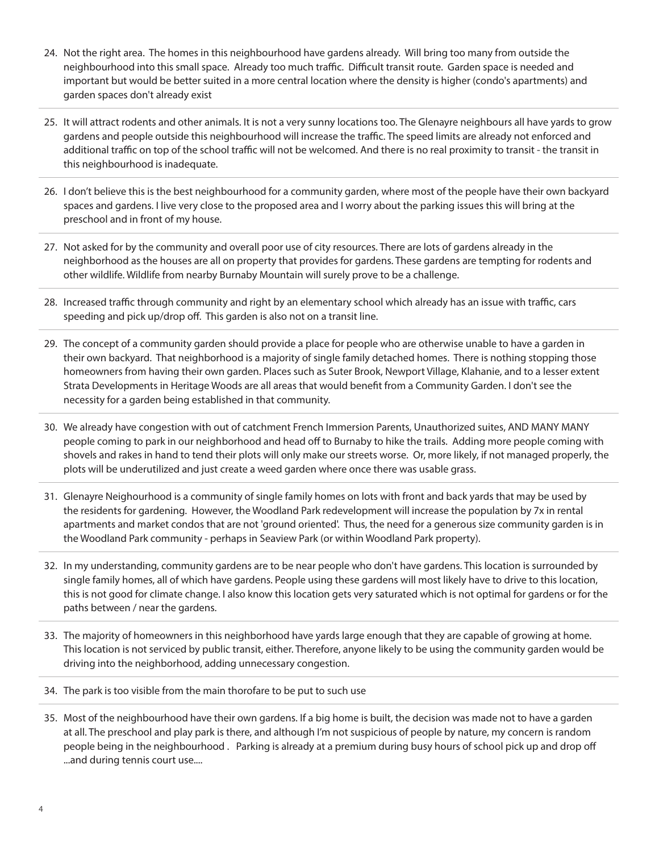- 24. Not the right area. The homes in this neighbourhood have gardens already. Will bring too many from outside the neighbourhood into this small space. Already too much traffic. Difficult transit route. Garden space is needed and important but would be better suited in a more central location where the density is higher (condo's apartments) and garden spaces don't already exist
- 25. It will attract rodents and other animals. It is not a very sunny locations too. The Glenayre neighbours all have yards to grow gardens and people outside this neighbourhood will increase the traffic. The speed limits are already not enforced and additional traffic on top of the school traffic will not be welcomed. And there is no real proximity to transit - the transit in this neighbourhood is inadequate.
- 26. I don't believe this is the best neighbourhood for a community garden, where most of the people have their own backyard spaces and gardens. I live very close to the proposed area and I worry about the parking issues this will bring at the preschool and in front of my house.
- 27. Not asked for by the community and overall poor use of city resources. There are lots of gardens already in the neighborhood as the houses are all on property that provides for gardens. These gardens are tempting for rodents and other wildlife. Wildlife from nearby Burnaby Mountain will surely prove to be a challenge.
- 28. Increased traffic through community and right by an elementary school which already has an issue with traffic, cars speeding and pick up/drop off. This garden is also not on a transit line.
- 29. The concept of a community garden should provide a place for people who are otherwise unable to have a garden in their own backyard. That neighborhood is a majority of single family detached homes. There is nothing stopping those homeowners from having their own garden. Places such as Suter Brook, Newport Village, Klahanie, and to a lesser extent Strata Developments in Heritage Woods are all areas that would benefit from a Community Garden. I don't see the necessity for a garden being established in that community.
- 30. We already have congestion with out of catchment French Immersion Parents, Unauthorized suites, AND MANY MANY people coming to park in our neighborhood and head off to Burnaby to hike the trails. Adding more people coming with shovels and rakes in hand to tend their plots will only make our streets worse. Or, more likely, if not managed properly, the plots will be underutilized and just create a weed garden where once there was usable grass.
- 31. Glenayre Neighourhood is a community of single family homes on lots with front and back yards that may be used by the residents for gardening. However, the Woodland Park redevelopment will increase the population by 7x in rental apartments and market condos that are not 'ground oriented'. Thus, the need for a generous size community garden is in the Woodland Park community - perhaps in Seaview Park (or within Woodland Park property).
- 32. In my understanding, community gardens are to be near people who don't have gardens. This location is surrounded by single family homes, all of which have gardens. People using these gardens will most likely have to drive to this location, this is not good for climate change. I also know this location gets very saturated which is not optimal for gardens or for the paths between / near the gardens.
- 33. The majority of homeowners in this neighborhood have yards large enough that they are capable of growing at home. This location is not serviced by public transit, either. Therefore, anyone likely to be using the community garden would be driving into the neighborhood, adding unnecessary congestion.
- 34. The park is too visible from the main thorofare to be put to such use
- 35. Most of the neighbourhood have their own gardens. If a big home is built, the decision was made not to have a garden at all. The preschool and play park is there, and although I'm not suspicious of people by nature, my concern is random people being in the neighbourhood . Parking is already at a premium during busy hours of school pick up and drop off ...and during tennis court use....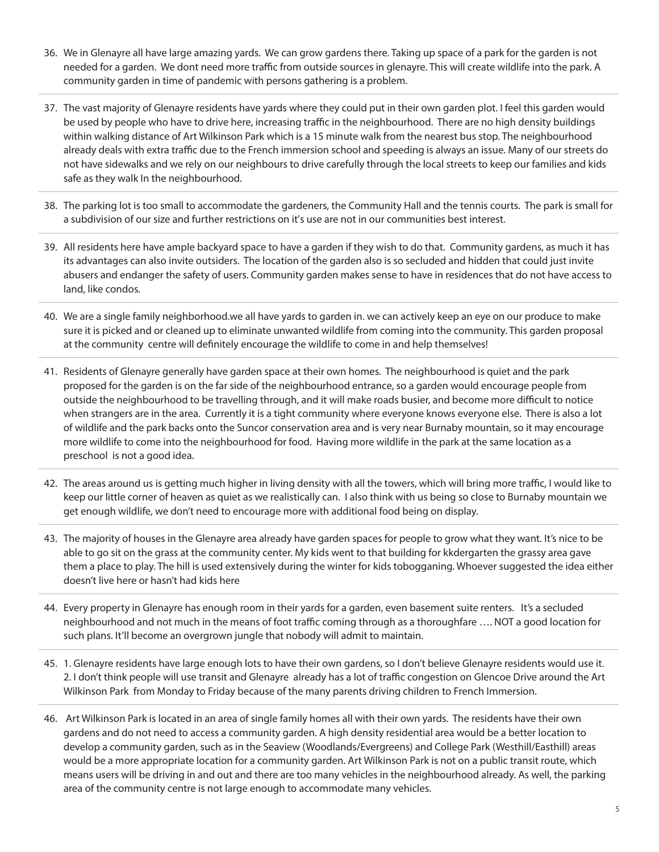- 36. We in Glenayre all have large amazing yards. We can grow gardens there. Taking up space of a park for the garden is not needed for a garden. We dont need more traffic from outside sources in glenayre. This will create wildlife into the park. A community garden in time of pandemic with persons gathering is a problem.
- 37. The vast majority of Glenayre residents have yards where they could put in their own garden plot. I feel this garden would be used by people who have to drive here, increasing traffic in the neighbourhood. There are no high density buildings within walking distance of Art Wilkinson Park which is a 15 minute walk from the nearest bus stop. The neighbourhood already deals with extra traffic due to the French immersion school and speeding is always an issue. Many of our streets do not have sidewalks and we rely on our neighbours to drive carefully through the local streets to keep our families and kids safe as they walk In the neighbourhood.
- 38. The parking lot is too small to accommodate the gardeners, the Community Hall and the tennis courts. The park is small for a subdivision of our size and further restrictions on it's use are not in our communities best interest.
- 39. All residents here have ample backyard space to have a garden if they wish to do that. Community gardens, as much it has its advantages can also invite outsiders. The location of the garden also is so secluded and hidden that could just invite abusers and endanger the safety of users. Community garden makes sense to have in residences that do not have access to land, like condos.
- 40. We are a single family neighborhood.we all have yards to garden in. we can actively keep an eye on our produce to make sure it is picked and or cleaned up to eliminate unwanted wildlife from coming into the community. This garden proposal at the community centre will definitely encourage the wildlife to come in and help themselves!
- 41. Residents of Glenayre generally have garden space at their own homes. The neighbourhood is quiet and the park proposed for the garden is on the far side of the neighbourhood entrance, so a garden would encourage people from outside the neighbourhood to be travelling through, and it will make roads busier, and become more difficult to notice when strangers are in the area. Currently it is a tight community where everyone knows everyone else. There is also a lot of wildlife and the park backs onto the Suncor conservation area and is very near Burnaby mountain, so it may encourage more wildlife to come into the neighbourhood for food. Having more wildlife in the park at the same location as a preschool is not a good idea.
- 42. The areas around us is getting much higher in living density with all the towers, which will bring more traffic, I would like to keep our little corner of heaven as quiet as we realistically can. I also think with us being so close to Burnaby mountain we get enough wildlife, we don't need to encourage more with additional food being on display.
- 43. The majority of houses in the Glenayre area already have garden spaces for people to grow what they want. It's nice to be able to go sit on the grass at the community center. My kids went to that building for kkdergarten the grassy area gave them a place to play. The hill is used extensively during the winter for kids tobogganing. Whoever suggested the idea either doesn't live here or hasn't had kids here
- 44. Every property in Glenayre has enough room in their yards for a garden, even basement suite renters. It's a secluded neighbourhood and not much in the means of foot traffic coming through as a thoroughfare …. NOT a good location for such plans. It'll become an overgrown jungle that nobody will admit to maintain.
- 45. 1. Glenayre residents have large enough lots to have their own gardens, so I don't believe Glenayre residents would use it. 2. I don't think people will use transit and Glenayre already has a lot of traffic congestion on Glencoe Drive around the Art Wilkinson Park from Monday to Friday because of the many parents driving children to French Immersion.
- 46. Art Wilkinson Park is located in an area of single family homes all with their own yards. The residents have their own gardens and do not need to access a community garden. A high density residential area would be a better location to develop a community garden, such as in the Seaview (Woodlands/Evergreens) and College Park (Westhill/Easthill) areas would be a more appropriate location for a community garden. Art Wilkinson Park is not on a public transit route, which means users will be driving in and out and there are too many vehicles in the neighbourhood already. As well, the parking area of the community centre is not large enough to accommodate many vehicles.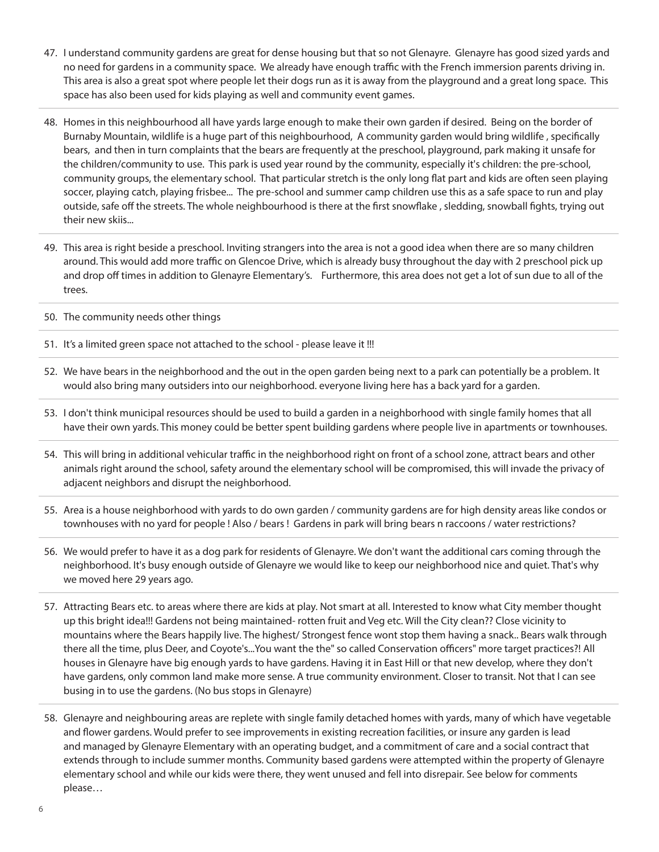- 47. I understand community gardens are great for dense housing but that so not Glenayre. Glenayre has good sized yards and no need for gardens in a community space. We already have enough traffic with the French immersion parents driving in. This area is also a great spot where people let their dogs run as it is away from the playground and a great long space. This space has also been used for kids playing as well and community event games.
- 48. Homes in this neighbourhood all have yards large enough to make their own garden if desired. Being on the border of Burnaby Mountain, wildlife is a huge part of this neighbourhood, A community garden would bring wildlife , specifically bears, and then in turn complaints that the bears are frequently at the preschool, playground, park making it unsafe for the children/community to use. This park is used year round by the community, especially it's children: the pre-school, community groups, the elementary school. That particular stretch is the only long flat part and kids are often seen playing soccer, playing catch, playing frisbee... The pre-school and summer camp children use this as a safe space to run and play outside, safe off the streets. The whole neighbourhood is there at the first snowflake , sledding, snowball fights, trying out their new skiis...
- 49. This area is right beside a preschool. Inviting strangers into the area is not a good idea when there are so many children around. This would add more traffic on Glencoe Drive, which is already busy throughout the day with 2 preschool pick up and drop off times in addition to Glenayre Elementary's. Furthermore, this area does not get a lot of sun due to all of the trees.
- 50. The community needs other things
- 51. It's a limited green space not attached to the school please leave it !!!
- 52. We have bears in the neighborhood and the out in the open garden being next to a park can potentially be a problem. It would also bring many outsiders into our neighborhood. everyone living here has a back yard for a garden.
- 53. I don't think municipal resources should be used to build a garden in a neighborhood with single family homes that all have their own yards. This money could be better spent building gardens where people live in apartments or townhouses.
- 54. This will bring in additional vehicular traffic in the neighborhood right on front of a school zone, attract bears and other animals right around the school, safety around the elementary school will be compromised, this will invade the privacy of adjacent neighbors and disrupt the neighborhood.
- 55. Area is a house neighborhood with yards to do own garden / community gardens are for high density areas like condos or townhouses with no yard for people ! Also / bears ! Gardens in park will bring bears n raccoons / water restrictions?
- 56. We would prefer to have it as a dog park for residents of Glenayre. We don't want the additional cars coming through the neighborhood. It's busy enough outside of Glenayre we would like to keep our neighborhood nice and quiet. That's why we moved here 29 years ago.
- 57. Attracting Bears etc. to areas where there are kids at play. Not smart at all. Interested to know what City member thought up this bright idea!!! Gardens not being maintained- rotten fruit and Veg etc. Will the City clean?? Close vicinity to mountains where the Bears happily live. The highest/ Strongest fence wont stop them having a snack.. Bears walk through there all the time, plus Deer, and Coyote's...You want the the" so called Conservation officers" more target practices?! All houses in Glenayre have big enough yards to have gardens. Having it in East Hill or that new develop, where they don't have gardens, only common land make more sense. A true community environment. Closer to transit. Not that I can see busing in to use the gardens. (No bus stops in Glenayre)
- 58. Glenayre and neighbouring areas are replete with single family detached homes with yards, many of which have vegetable and flower gardens. Would prefer to see improvements in existing recreation facilities, or insure any garden is lead and managed by Glenayre Elementary with an operating budget, and a commitment of care and a social contract that extends through to include summer months. Community based gardens were attempted within the property of Glenayre elementary school and while our kids were there, they went unused and fell into disrepair. See below for comments please…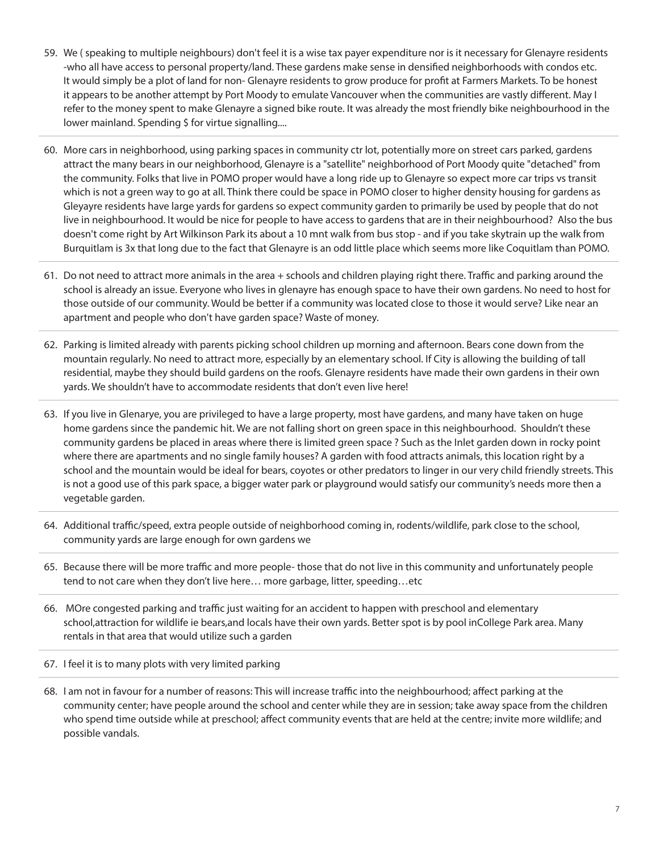- 59. We ( speaking to multiple neighbours) don't feel it is a wise tax payer expenditure nor is it necessary for Glenayre residents -who all have access to personal property/land. These gardens make sense in densified neighborhoods with condos etc. It would simply be a plot of land for non- Glenayre residents to grow produce for profit at Farmers Markets. To be honest it appears to be another attempt by Port Moody to emulate Vancouver when the communities are vastly different. May I refer to the money spent to make Glenayre a signed bike route. It was already the most friendly bike neighbourhood in the lower mainland. Spending \$ for virtue signalling....
- 60. More cars in neighborhood, using parking spaces in community ctr lot, potentially more on street cars parked, gardens attract the many bears in our neighborhood, Glenayre is a "satellite" neighborhood of Port Moody quite "detached" from the community. Folks that live in POMO proper would have a long ride up to Glenayre so expect more car trips vs transit which is not a green way to go at all. Think there could be space in POMO closer to higher density housing for gardens as Gleyayre residents have large yards for gardens so expect community garden to primarily be used by people that do not live in neighbourhood. It would be nice for people to have access to gardens that are in their neighbourhood? Also the bus doesn't come right by Art Wilkinson Park its about a 10 mnt walk from bus stop - and if you take skytrain up the walk from Burquitlam is 3x that long due to the fact that Glenayre is an odd little place which seems more like Coquitlam than POMO.
- 61. Do not need to attract more animals in the area + schools and children playing right there. Traffic and parking around the school is already an issue. Everyone who lives in glenayre has enough space to have their own gardens. No need to host for those outside of our community. Would be better if a community was located close to those it would serve? Like near an apartment and people who don't have garden space? Waste of money.
- 62. Parking is limited already with parents picking school children up morning and afternoon. Bears cone down from the mountain regularly. No need to attract more, especially by an elementary school. If City is allowing the building of tall residential, maybe they should build gardens on the roofs. Glenayre residents have made their own gardens in their own yards. We shouldn't have to accommodate residents that don't even live here!
- 63. If you live in Glenarye, you are privileged to have a large property, most have gardens, and many have taken on huge home gardens since the pandemic hit. We are not falling short on green space in this neighbourhood. Shouldn't these community gardens be placed in areas where there is limited green space ? Such as the Inlet garden down in rocky point where there are apartments and no single family houses? A garden with food attracts animals, this location right by a school and the mountain would be ideal for bears, coyotes or other predators to linger in our very child friendly streets. This is not a good use of this park space, a bigger water park or playground would satisfy our community's needs more then a vegetable garden.
- 64. Additional traffic/speed, extra people outside of neighborhood coming in, rodents/wildlife, park close to the school, community yards are large enough for own gardens we
- 65. Because there will be more traffic and more people- those that do not live in this community and unfortunately people tend to not care when they don't live here… more garbage, litter, speeding…etc
- 66. MOre congested parking and traffic just waiting for an accident to happen with preschool and elementary school,attraction for wildlife ie bears,and locals have their own yards. Better spot is by pool inCollege Park area. Many rentals in that area that would utilize such a garden
- 67. I feel it is to many plots with very limited parking
- 68. I am not in favour for a number of reasons: This will increase traffic into the neighbourhood; affect parking at the community center; have people around the school and center while they are in session; take away space from the children who spend time outside while at preschool; affect community events that are held at the centre; invite more wildlife; and possible vandals.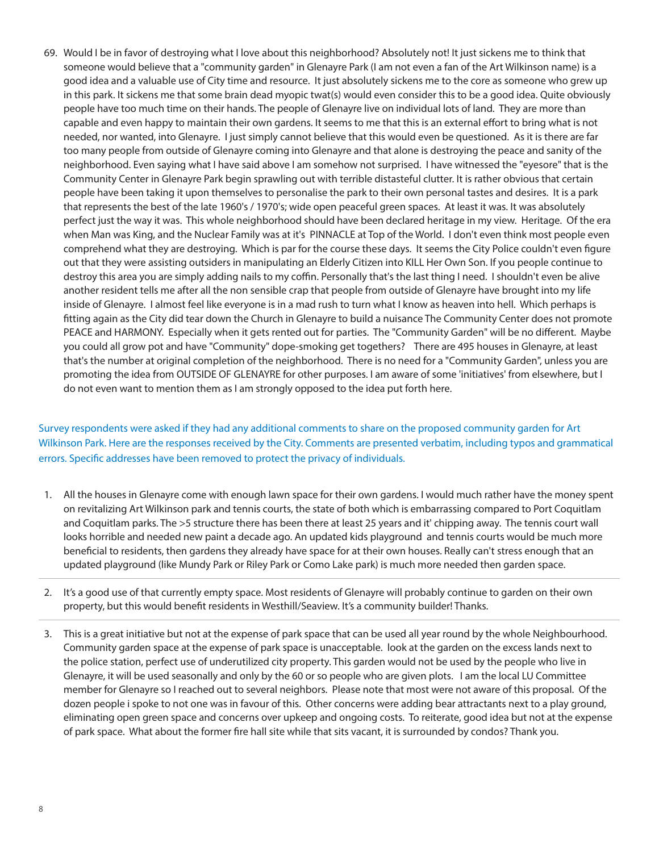69. Would I be in favor of destroying what I love about this neighborhood? Absolutely not! It just sickens me to think that someone would believe that a "community garden" in Glenayre Park (I am not even a fan of the Art Wilkinson name) is a good idea and a valuable use of City time and resource. It just absolutely sickens me to the core as someone who grew up in this park. It sickens me that some brain dead myopic twat(s) would even consider this to be a good idea. Quite obviously people have too much time on their hands. The people of Glenayre live on individual lots of land. They are more than capable and even happy to maintain their own gardens. It seems to me that this is an external effort to bring what is not needed, nor wanted, into Glenayre. I just simply cannot believe that this would even be questioned. As it is there are far too many people from outside of Glenayre coming into Glenayre and that alone is destroying the peace and sanity of the neighborhood. Even saying what I have said above I am somehow not surprised. I have witnessed the "eyesore" that is the Community Center in Glenayre Park begin sprawling out with terrible distasteful clutter. It is rather obvious that certain people have been taking it upon themselves to personalise the park to their own personal tastes and desires. It is a park that represents the best of the late 1960's / 1970's; wide open peaceful green spaces. At least it was. It was absolutely perfect just the way it was. This whole neighborhood should have been declared heritage in my view. Heritage. Of the era when Man was King, and the Nuclear Family was at it's PINNACLE at Top of the World. I don't even think most people even comprehend what they are destroying. Which is par for the course these days. It seems the City Police couldn't even figure out that they were assisting outsiders in manipulating an Elderly Citizen into KILL Her Own Son. If you people continue to destroy this area you are simply adding nails to my coffin. Personally that's the last thing I need. I shouldn't even be alive another resident tells me after all the non sensible crap that people from outside of Glenayre have brought into my life inside of Glenayre. I almost feel like everyone is in a mad rush to turn what I know as heaven into hell. Which perhaps is fitting again as the City did tear down the Church in Glenayre to build a nuisance The Community Center does not promote PEACE and HARMONY. Especially when it gets rented out for parties. The "Community Garden" will be no different. Maybe you could all grow pot and have "Community" dope-smoking get togethers? There are 495 houses in Glenayre, at least that's the number at original completion of the neighborhood. There is no need for a "Community Garden", unless you are promoting the idea from OUTSIDE OF GLENAYRE for other purposes. I am aware of some 'initiatives' from elsewhere, but I do not even want to mention them as I am strongly opposed to the idea put forth here.

Survey respondents were asked if they had any additional comments to share on the proposed community garden for Art Wilkinson Park. Here are the responses received by the City. Comments are presented verbatim, including typos and grammatical errors. Specific addresses have been removed to protect the privacy of individuals.

- 1. All the houses in Glenayre come with enough lawn space for their own gardens. I would much rather have the money spent on revitalizing Art Wilkinson park and tennis courts, the state of both which is embarrassing compared to Port Coquitlam and Coquitlam parks. The >5 structure there has been there at least 25 years and it' chipping away. The tennis court wall looks horrible and needed new paint a decade ago. An updated kids playground and tennis courts would be much more beneficial to residents, then gardens they already have space for at their own houses. Really can't stress enough that an updated playground (like Mundy Park or Riley Park or Como Lake park) is much more needed then garden space.
- 2. It's a good use of that currently empty space. Most residents of Glenayre will probably continue to garden on their own property, but this would benefit residents in Westhill/Seaview. It's a community builder! Thanks.
- 3. This is a great initiative but not at the expense of park space that can be used all year round by the whole Neighbourhood. Community garden space at the expense of park space is unacceptable. look at the garden on the excess lands next to the police station, perfect use of underutilized city property. This garden would not be used by the people who live in Glenayre, it will be used seasonally and only by the 60 or so people who are given plots. I am the local LU Committee member for Glenayre so I reached out to several neighbors. Please note that most were not aware of this proposal. Of the dozen people i spoke to not one was in favour of this. Other concerns were adding bear attractants next to a play ground, eliminating open green space and concerns over upkeep and ongoing costs. To reiterate, good idea but not at the expense of park space. What about the former fire hall site while that sits vacant, it is surrounded by condos? Thank you.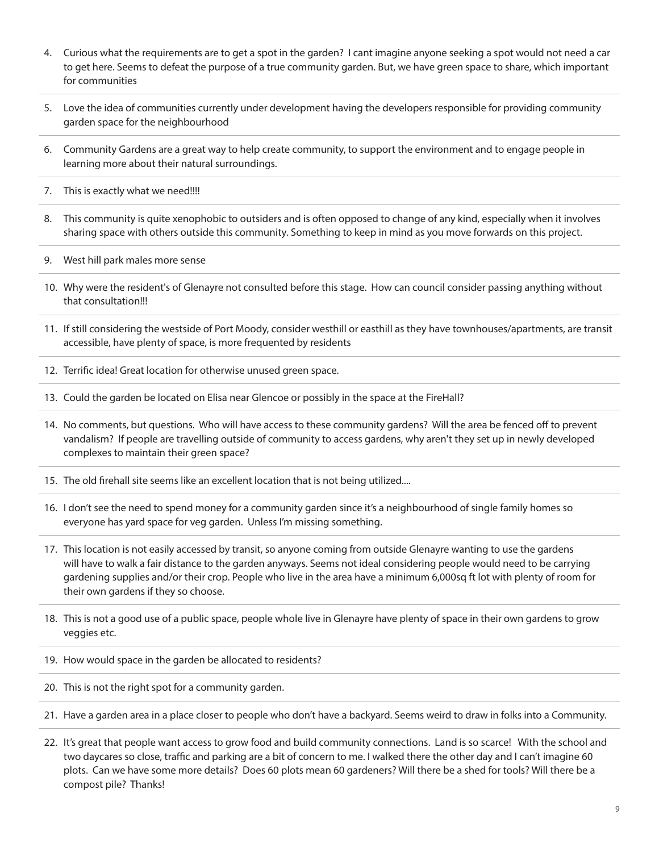- 4. Curious what the requirements are to get a spot in the garden? I cant imagine anyone seeking a spot would not need a car to get here. Seems to defeat the purpose of a true community garden. But, we have green space to share, which important for communities
- 5. Love the idea of communities currently under development having the developers responsible for providing community garden space for the neighbourhood
- 6. Community Gardens are a great way to help create community, to support the environment and to engage people in learning more about their natural surroundings.
- 7. This is exactly what we need!!!!
- 8. This community is quite xenophobic to outsiders and is often opposed to change of any kind, especially when it involves sharing space with others outside this community. Something to keep in mind as you move forwards on this project.
- 9. West hill park males more sense
- 10. Why were the resident's of Glenayre not consulted before this stage. How can council consider passing anything without that consultation!!!
- 11. If still considering the westside of Port Moody, consider westhill or easthill as they have townhouses/apartments, are transit accessible, have plenty of space, is more frequented by residents
- 12. Terrific idea! Great location for otherwise unused green space.
- 13. Could the garden be located on Elisa near Glencoe or possibly in the space at the FireHall?
- 14. No comments, but questions. Who will have access to these community gardens? Will the area be fenced off to prevent vandalism? If people are travelling outside of community to access gardens, why aren't they set up in newly developed complexes to maintain their green space?
- 15. The old firehall site seems like an excellent location that is not being utilized....
- 16. I don't see the need to spend money for a community garden since it's a neighbourhood of single family homes so everyone has yard space for veg garden. Unless I'm missing something.
- 17. This location is not easily accessed by transit, so anyone coming from outside Glenayre wanting to use the gardens will have to walk a fair distance to the garden anyways. Seems not ideal considering people would need to be carrying gardening supplies and/or their crop. People who live in the area have a minimum 6,000sq ft lot with plenty of room for their own gardens if they so choose.
- 18. This is not a good use of a public space, people whole live in Glenayre have plenty of space in their own gardens to grow veggies etc.
- 19. How would space in the garden be allocated to residents?
- 20. This is not the right spot for a community garden.
- 21. Have a garden area in a place closer to people who don't have a backyard. Seems weird to draw in folks into a Community.
- 22. It's great that people want access to grow food and build community connections. Land is so scarce! With the school and two daycares so close, traffic and parking are a bit of concern to me. I walked there the other day and I can't imagine 60 plots. Can we have some more details? Does 60 plots mean 60 gardeners? Will there be a shed for tools? Will there be a compost pile? Thanks!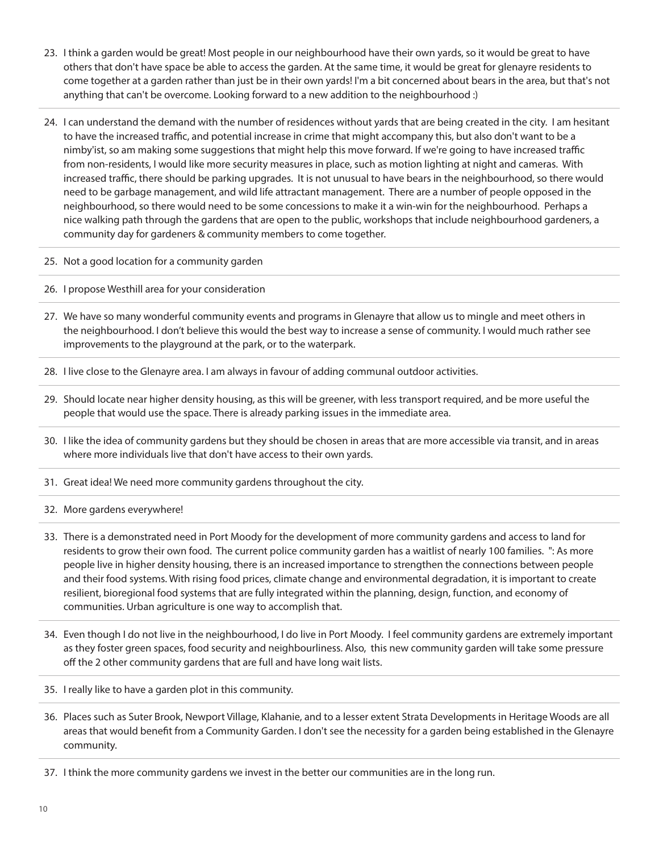- 23. I think a garden would be great! Most people in our neighbourhood have their own yards, so it would be great to have others that don't have space be able to access the garden. At the same time, it would be great for glenayre residents to come together at a garden rather than just be in their own yards! I'm a bit concerned about bears in the area, but that's not anything that can't be overcome. Looking forward to a new addition to the neighbourhood :)
- 24. I can understand the demand with the number of residences without yards that are being created in the city. I am hesitant to have the increased traffic, and potential increase in crime that might accompany this, but also don't want to be a nimby'ist, so am making some suggestions that might help this move forward. If we're going to have increased traffic from non-residents, I would like more security measures in place, such as motion lighting at night and cameras. With increased traffic, there should be parking upgrades. It is not unusual to have bears in the neighbourhood, so there would need to be garbage management, and wild life attractant management. There are a number of people opposed in the neighbourhood, so there would need to be some concessions to make it a win-win for the neighbourhood. Perhaps a nice walking path through the gardens that are open to the public, workshops that include neighbourhood gardeners, a community day for gardeners & community members to come together.
- 25. Not a good location for a community garden
- 26. I propose Westhill area for your consideration
- 27. We have so many wonderful community events and programs in Glenayre that allow us to mingle and meet others in the neighbourhood. I don't believe this would the best way to increase a sense of community. I would much rather see improvements to the playground at the park, or to the waterpark.
- 28. I live close to the Glenayre area. I am always in favour of adding communal outdoor activities.
- 29. Should locate near higher density housing, as this will be greener, with less transport required, and be more useful the people that would use the space. There is already parking issues in the immediate area.
- 30. I like the idea of community gardens but they should be chosen in areas that are more accessible via transit, and in areas where more individuals live that don't have access to their own yards.
- 31. Great idea! We need more community gardens throughout the city.
- 32. More gardens everywhere!
- 33. There is a demonstrated need in Port Moody for the development of more community gardens and access to land for residents to grow their own food. The current police community garden has a waitlist of nearly 100 families. ": As more people live in higher density housing, there is an increased importance to strengthen the connections between people and their food systems. With rising food prices, climate change and environmental degradation, it is important to create resilient, bioregional food systems that are fully integrated within the planning, design, function, and economy of communities. Urban agriculture is one way to accomplish that.
- 34. Even though I do not live in the neighbourhood, I do live in Port Moody. I feel community gardens are extremely important as they foster green spaces, food security and neighbourliness. Also, this new community garden will take some pressure off the 2 other community gardens that are full and have long wait lists.
- 35. I really like to have a garden plot in this community.
- 36. Places such as Suter Brook, Newport Village, Klahanie, and to a lesser extent Strata Developments in Heritage Woods are all areas that would benefit from a Community Garden. I don't see the necessity for a garden being established in the Glenayre community.
- 37. I think the more community gardens we invest in the better our communities are in the long run.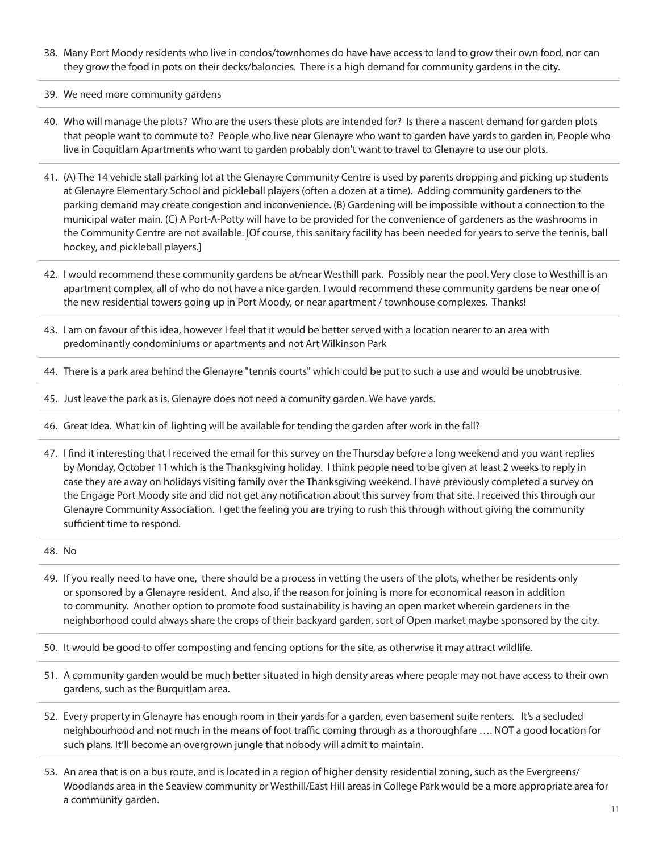- 38. Many Port Moody residents who live in condos/townhomes do have have access to land to grow their own food, nor can they grow the food in pots on their decks/baloncies. There is a high demand for community gardens in the city.
- 39. We need more community gardens
- 40. Who will manage the plots? Who are the users these plots are intended for? Is there a nascent demand for garden plots that people want to commute to? People who live near Glenayre who want to garden have yards to garden in, People who live in Coquitlam Apartments who want to garden probably don't want to travel to Glenayre to use our plots.
- 41. (A) The 14 vehicle stall parking lot at the Glenayre Community Centre is used by parents dropping and picking up students at Glenayre Elementary School and pickleball players (often a dozen at a time). Adding community gardeners to the parking demand may create congestion and inconvenience. (B) Gardening will be impossible without a connection to the municipal water main. (C) A Port-A-Potty will have to be provided for the convenience of gardeners as the washrooms in the Community Centre are not available. [Of course, this sanitary facility has been needed for years to serve the tennis, ball hockey, and pickleball players.]
- 42. I would recommend these community gardens be at/near Westhill park. Possibly near the pool. Very close to Westhill is an apartment complex, all of who do not have a nice garden. I would recommend these community gardens be near one of the new residential towers going up in Port Moody, or near apartment / townhouse complexes. Thanks!
- 43. I am on favour of this idea, however I feel that it would be better served with a location nearer to an area with predominantly condominiums or apartments and not Art Wilkinson Park
- 44. There is a park area behind the Glenayre "tennis courts" which could be put to such a use and would be unobtrusive.
- 45. Just leave the park as is. Glenayre does not need a comunity garden. We have yards.
- 46. Great Idea. What kin of lighting will be available for tending the garden after work in the fall?
- 47. I find it interesting that I received the email for this survey on the Thursday before a long weekend and you want replies by Monday, October 11 which is the Thanksgiving holiday. I think people need to be given at least 2 weeks to reply in case they are away on holidays visiting family over the Thanksgiving weekend. I have previously completed a survey on the Engage Port Moody site and did not get any notification about this survey from that site. I received this through our Glenayre Community Association. I get the feeling you are trying to rush this through without giving the community sufficient time to respond.
- 48. No
- 49. If you really need to have one, there should be a process in vetting the users of the plots, whether be residents only or sponsored by a Glenayre resident. And also, if the reason for joining is more for economical reason in addition to community. Another option to promote food sustainability is having an open market wherein gardeners in the neighborhood could always share the crops of their backyard garden, sort of Open market maybe sponsored by the city.
- 50. It would be good to offer composting and fencing options for the site, as otherwise it may attract wildlife.
- 51. A community garden would be much better situated in high density areas where people may not have access to their own gardens, such as the Burquitlam area.
- 52. Every property in Glenayre has enough room in their yards for a garden, even basement suite renters. It's a secluded neighbourhood and not much in the means of foot traffic coming through as a thoroughfare …. NOT a good location for such plans. It'll become an overgrown jungle that nobody will admit to maintain.
- 53. An area that is on a bus route, and is located in a region of higher density residential zoning, such as the Evergreens/ Woodlands area in the Seaview community or Westhill/East Hill areas in College Park would be a more appropriate area for a community garden.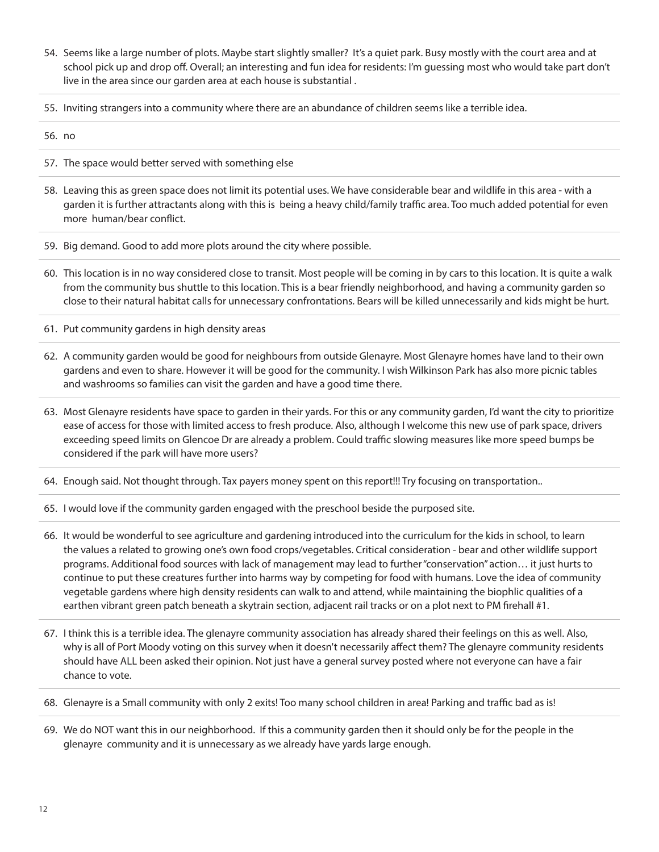- 54. Seems like a large number of plots. Maybe start slightly smaller? It's a quiet park. Busy mostly with the court area and at school pick up and drop off. Overall; an interesting and fun idea for residents: I'm guessing most who would take part don't live in the area since our garden area at each house is substantial .
- 55. Inviting strangers into a community where there are an abundance of children seems like a terrible idea.

56. no

- 57. The space would better served with something else
- 58. Leaving this as green space does not limit its potential uses. We have considerable bear and wildlife in this area with a garden it is further attractants along with this is being a heavy child/family traffic area. Too much added potential for even more human/bear conflict.
- 59. Big demand. Good to add more plots around the city where possible.
- 60. This location is in no way considered close to transit. Most people will be coming in by cars to this location. It is quite a walk from the community bus shuttle to this location. This is a bear friendly neighborhood, and having a community garden so close to their natural habitat calls for unnecessary confrontations. Bears will be killed unnecessarily and kids might be hurt.
- 61. Put community gardens in high density areas
- 62. A community garden would be good for neighbours from outside Glenayre. Most Glenayre homes have land to their own gardens and even to share. However it will be good for the community. I wish Wilkinson Park has also more picnic tables and washrooms so families can visit the garden and have a good time there.
- 63. Most Glenayre residents have space to garden in their yards. For this or any community garden, I'd want the city to prioritize ease of access for those with limited access to fresh produce. Also, although I welcome this new use of park space, drivers exceeding speed limits on Glencoe Dr are already a problem. Could traffic slowing measures like more speed bumps be considered if the park will have more users?
- 64. Enough said. Not thought through. Tax payers money spent on this report!!! Try focusing on transportation..
- 65. I would love if the community garden engaged with the preschool beside the purposed site.
- 66. It would be wonderful to see agriculture and gardening introduced into the curriculum for the kids in school, to learn the values a related to growing one's own food crops/vegetables. Critical consideration - bear and other wildlife support programs. Additional food sources with lack of management may lead to further "conservation" action… it just hurts to continue to put these creatures further into harms way by competing for food with humans. Love the idea of community vegetable gardens where high density residents can walk to and attend, while maintaining the biophlic qualities of a earthen vibrant green patch beneath a skytrain section, adjacent rail tracks or on a plot next to PM firehall #1.
- 67. I think this is a terrible idea. The glenayre community association has already shared their feelings on this as well. Also, why is all of Port Moody voting on this survey when it doesn't necessarily affect them? The glenayre community residents should have ALL been asked their opinion. Not just have a general survey posted where not everyone can have a fair chance to vote.
- 68. Glenayre is a Small community with only 2 exits! Too many school children in area! Parking and traffic bad as is!
- 69. We do NOT want this in our neighborhood. If this a community garden then it should only be for the people in the glenayre community and it is unnecessary as we already have yards large enough.